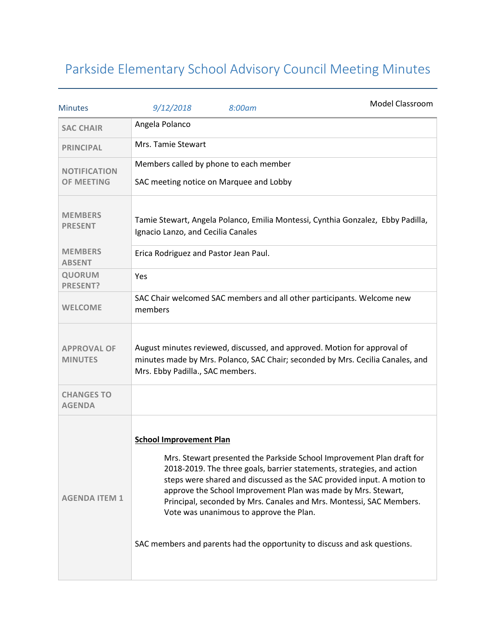## Parkside Elementary School Advisory Council Meeting Minutes

| <b>Minutes</b>                           | 9/12/2018                             | 8:00am                                                                            | Model Classroom                                                                                                                                                                                                                                                                                                                                                                                                                                |
|------------------------------------------|---------------------------------------|-----------------------------------------------------------------------------------|------------------------------------------------------------------------------------------------------------------------------------------------------------------------------------------------------------------------------------------------------------------------------------------------------------------------------------------------------------------------------------------------------------------------------------------------|
| <b>SAC CHAIR</b>                         | Angela Polanco                        |                                                                                   |                                                                                                                                                                                                                                                                                                                                                                                                                                                |
| <b>PRINCIPAL</b>                         | Mrs. Tamie Stewart                    |                                                                                   |                                                                                                                                                                                                                                                                                                                                                                                                                                                |
| <b>NOTIFICATION</b><br><b>OF MEETING</b> |                                       | Members called by phone to each member<br>SAC meeting notice on Marquee and Lobby |                                                                                                                                                                                                                                                                                                                                                                                                                                                |
| <b>MEMBERS</b><br><b>PRESENT</b>         | Ignacio Lanzo, and Cecilia Canales    |                                                                                   | Tamie Stewart, Angela Polanco, Emilia Montessi, Cynthia Gonzalez, Ebby Padilla,                                                                                                                                                                                                                                                                                                                                                                |
| <b>MEMBERS</b><br><b>ABSENT</b>          | Erica Rodriguez and Pastor Jean Paul. |                                                                                   |                                                                                                                                                                                                                                                                                                                                                                                                                                                |
| <b>QUORUM</b><br><b>PRESENT?</b>         | Yes                                   |                                                                                   |                                                                                                                                                                                                                                                                                                                                                                                                                                                |
| <b>WELCOME</b>                           | members                               |                                                                                   | SAC Chair welcomed SAC members and all other participants. Welcome new                                                                                                                                                                                                                                                                                                                                                                         |
| <b>APPROVAL OF</b><br><b>MINUTES</b>     | Mrs. Ebby Padilla., SAC members.      |                                                                                   | August minutes reviewed, discussed, and approved. Motion for approval of<br>minutes made by Mrs. Polanco, SAC Chair; seconded by Mrs. Cecilia Canales, and                                                                                                                                                                                                                                                                                     |
| <b>CHANGES TO</b><br><b>AGENDA</b>       |                                       |                                                                                   |                                                                                                                                                                                                                                                                                                                                                                                                                                                |
| <b>AGENDA ITEM 1</b>                     | <b>School Improvement Plan</b>        | Vote was unanimous to approve the Plan.                                           | Mrs. Stewart presented the Parkside School Improvement Plan draft for<br>2018-2019. The three goals, barrier statements, strategies, and action<br>steps were shared and discussed as the SAC provided input. A motion to<br>approve the School Improvement Plan was made by Mrs. Stewart,<br>Principal, seconded by Mrs. Canales and Mrs. Montessi, SAC Members.<br>SAC members and parents had the opportunity to discuss and ask questions. |